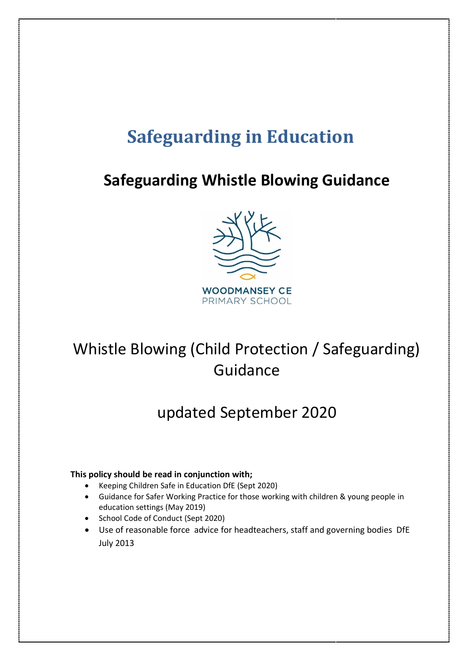# **Safeguarding in Education**

# **Safeguarding Whistle Blowing Guidance**



# Whistle Blowing (Child Protection / Safeguarding) Guidance

## updated September 2020

#### **This policy should be read in conjunction with;**

- Keeping Children Safe in Education DfE (Sept 2020)
- Guidance for Safer Working Practice for those working with children & young people in education settings (May 2019)
- School Code of Conduct (Sept 2020)
- Use of reasonable force advice for headteachers, staff and governing bodies DfE July 2013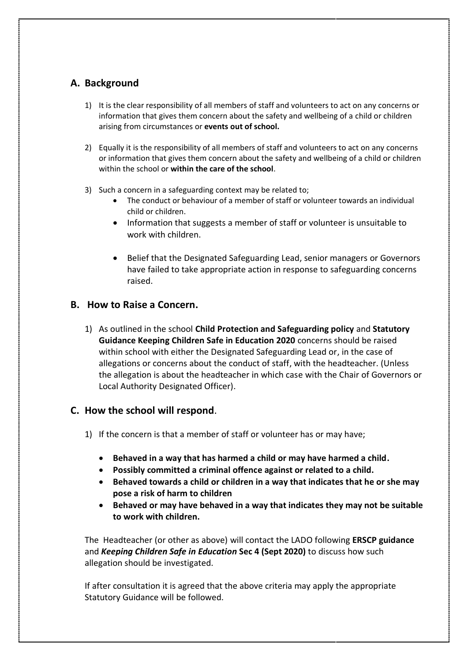### **A. Background**

- 1) It is the clear responsibility of all members of staff and volunteers to act on any concerns or information that gives them concern about the safety and wellbeing of a child or children arising from circumstances or **events out of school.**
- 2) Equally it is the responsibility of all members of staff and volunteers to act on any concerns or information that gives them concern about the safety and wellbeing of a child or children within the school or **within the care of the school**.
- 3) Such a concern in a safeguarding context may be related to;
	- The conduct or behaviour of a member of staff or volunteer towards an individual child or children.
	- Information that suggests a member of staff or volunteer is unsuitable to work with children.
	- Belief that the Designated Safeguarding Lead, senior managers or Governors have failed to take appropriate action in response to safeguarding concerns raised.

#### **B. How to Raise a Concern.**

1) As outlined in the school **Child Protection and Safeguarding policy** and **Statutory Guidance Keeping Children Safe in Education 2020** concerns should be raised within school with either the Designated Safeguarding Lead or, in the case of allegations or concerns about the conduct of staff, with the headteacher. (Unless the allegation is about the headteacher in which case with the Chair of Governors or Local Authority Designated Officer).

#### **C. How the school will respond**.

- 1) If the concern is that a member of staff or volunteer has or may have;
	- **Behaved in a way that has harmed a child or may have harmed a child.**
	- **Possibly committed a criminal offence against or related to a child.**
	- **Behaved towards a child or children in a way that indicates that he or she may pose a risk of harm to children**
	- **Behaved or may have behaved in a way that indicates they may not be suitable to work with children.**

The Headteacher (or other as above) will contact the LADO following **ERSCP guidance** and *Keeping Children Safe in Education* **Sec 4 (Sept 2020)** to discuss how such allegation should be investigated.

If after consultation it is agreed that the above criteria may apply the appropriate Statutory Guidance will be followed.